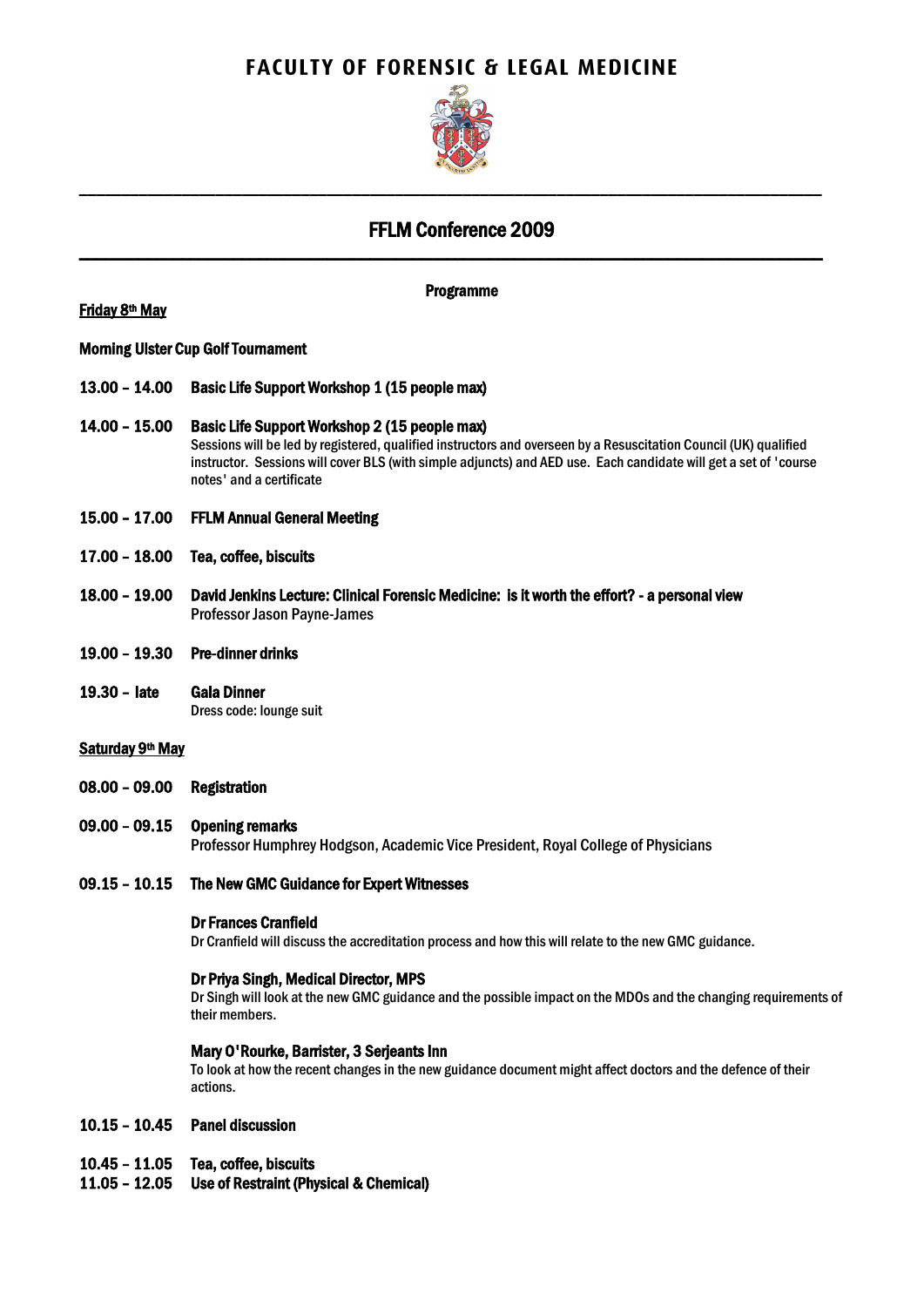# **FACULTY OF FORENSIC & LEGAL MEDICINE**



## FFLM Conference 2009 \_\_\_\_\_\_\_\_\_\_\_\_\_\_\_\_\_\_\_\_\_\_\_\_\_\_\_\_\_\_\_\_\_\_\_\_\_\_\_\_\_\_\_\_\_\_\_\_\_\_\_\_\_\_\_\_\_\_\_\_\_\_\_\_\_\_\_\_\_\_\_\_\_\_\_\_\_\_\_\_\_\_\_\_\_\_\_

\_\_\_\_\_\_\_\_\_\_\_\_\_\_\_\_\_\_\_\_\_\_\_\_\_\_\_\_\_\_\_\_\_\_\_\_\_\_\_\_\_\_\_\_\_\_\_\_\_\_\_\_\_\_\_\_\_\_\_\_\_\_\_\_\_\_\_\_\_\_\_\_\_\_\_\_\_\_\_\_\_\_\_\_\_\_\_

## **Friday 8<sup>th</sup> May**

Programme

## Morning Ulster Cup Golf Tournament

- 13.00 14.00 Basic Life Support Workshop 1 (15 people max)
- 14.00 15.00 Basic Life Support Workshop 2 (15 people max) Sessions will be led by registered, qualified instructors and overseen by a Resuscitation Council (UK) qualified instructor. Sessions will cover BLS (with simple adjuncts) and AED use. Each candidate will get a set of 'course notes' and a certificate
- 15.00 17.00 FFLM Annual General Meeting
- 17.00 18.00 Tea, coffee, biscuits
- 18.00 19.00 David Jenkins Lecture: Clinical Forensic Medicine: is it worth the effort? a personal view Professor Jason Payne-James
- 19.00 19.30 Pre-dinner drinks
- 19.30 late Gala Dinner Dress code: lounge suit

## Saturday 9<sup>th</sup> May

- 08.00 09.00 Registration
- 09.00 09.15 Opening remarks Professor Humphrey Hodgson, Academic Vice President, Royal College of Physicians

## 09.15 – 10.15 The New GMC Guidance for Expert Witnesses

#### Dr Frances Cranfield

Dr Cranfield will discuss the accreditation process and how this will relate to the new GMC guidance.

#### Dr Priya Singh, Medical Director, MPS

Dr Singh will look at the new GMC guidance and the possible impact on the MDOs and the changing requirements of their members.

#### Mary O'Rourke, Barrister, 3 Serjeants Inn

To look at how the recent changes in the new guidance document might affect doctors and the defence of their actions.

#### 10.15 – 10.45 Panel discussion

- 10.45 11.05 Tea, coffee, biscuits
- 11.05 12.05 Use of Restraint (Physical & Chemical)